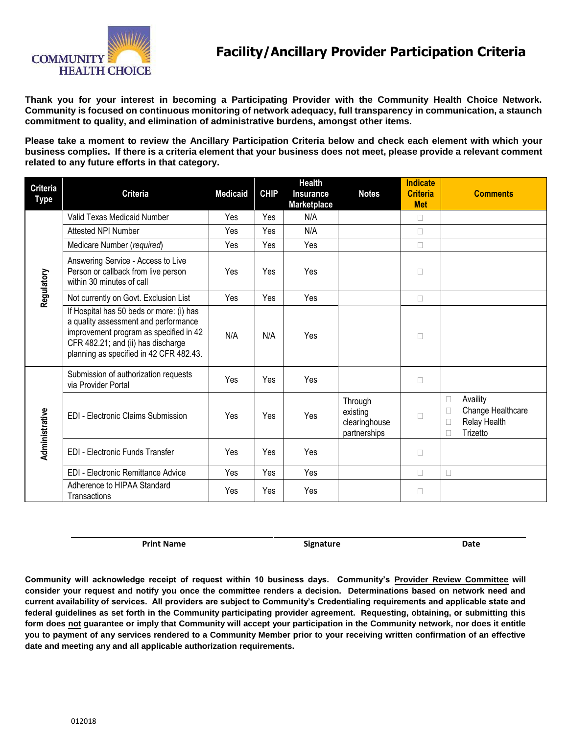

**Thank you for your interest in becoming a Participating Provider with the Community Health Choice Network. Community is focused on continuous monitoring of network adequacy, full transparency in communication, a staunch commitment to quality, and elimination of administrative burdens, amongst other items.** 

**Please take a moment to review the Ancillary Participation Criteria below and check each element with which your business complies. If there is a criteria element that your business does not meet, please provide a relevant comment related to any future efforts in that category.** 

| <b>Criteria</b><br><b>Type</b> | <b>Criteria</b>                                                                                                                                                                                             | <b>Medicaid</b> | <b>CHIP</b> | <b>Health</b><br><b>Insurance</b><br>Marketplace | <b>Notes</b>                                         | <b>Indicate</b><br><b>Criteria</b><br><b>Met</b> | <b>Comments</b>                                                               |
|--------------------------------|-------------------------------------------------------------------------------------------------------------------------------------------------------------------------------------------------------------|-----------------|-------------|--------------------------------------------------|------------------------------------------------------|--------------------------------------------------|-------------------------------------------------------------------------------|
| Regulatory                     | Valid Texas Medicaid Number                                                                                                                                                                                 | Yes             | Yes         | N/A                                              |                                                      | □                                                |                                                                               |
|                                | Attested NPI Number                                                                                                                                                                                         | Yes             | Yes         | N/A                                              |                                                      | □                                                |                                                                               |
|                                | Medicare Number (required)                                                                                                                                                                                  | Yes             | Yes         | Yes                                              |                                                      | $\Box$                                           |                                                                               |
|                                | Answering Service - Access to Live<br>Person or callback from live person<br>within 30 minutes of call                                                                                                      | Yes             | Yes         | Yes                                              |                                                      | $\Box$                                           |                                                                               |
|                                | Not currently on Govt. Exclusion List                                                                                                                                                                       | Yes             | Yes         | Yes                                              |                                                      | $\Box$                                           |                                                                               |
|                                | If Hospital has 50 beds or more: (i) has<br>a quality assessment and performance<br>improvement program as specified in 42<br>CFR 482.21; and (ii) has discharge<br>planning as specified in 42 CFR 482.43. | N/A             | N/A         | Yes                                              |                                                      | $\Box$                                           |                                                                               |
| Administrative                 | Submission of authorization requests<br>via Provider Portal                                                                                                                                                 | Yes             | Yes         | Yes                                              |                                                      | $\Box$                                           |                                                                               |
|                                | <b>EDI</b> - Electronic Claims Submission                                                                                                                                                                   | Yes             | Yes         | Yes                                              | Through<br>existing<br>clearinghouse<br>partnerships | □                                                | Availity<br>$\Box$<br>Change Healthcare<br>E<br>Relay Health<br>E<br>Trizetto |
|                                | <b>EDI - Electronic Funds Transfer</b>                                                                                                                                                                      | Yes             | Yes         | Yes                                              |                                                      | $\Box$                                           |                                                                               |
|                                | EDI - Electronic Remittance Advice                                                                                                                                                                          | Yes             | Yes         | Yes                                              |                                                      | $\Box$                                           | $\Box$                                                                        |
|                                | Adherence to HIPAA Standard<br>Transactions                                                                                                                                                                 | Yes             | Yes         | Yes                                              |                                                      | □                                                |                                                                               |

Print Name **Solution Communist Communist Communist Communist Communist Communist Communist Communist Communist Communist Communist Communist Communist Communist Communist Communist Communist Communist Communist Communist C** 

**Community will acknowledge receipt of request within 10 business days. Community's Provider Review Committee will consider your request and notify you once the committee renders a decision. Determinations based on network need and current availability of services. All providers are subject to Community's Credentialing requirements and applicable state and federal guidelines as set forth in the Community participating provider agreement. Requesting, obtaining, or submitting this form does not guarantee or imply that Community will accept your participation in the Community network, nor does it entitle you to payment of any services rendered to a Community Member prior to your receiving written confirmation of an effective date and meeting any and all applicable authorization requirements.**